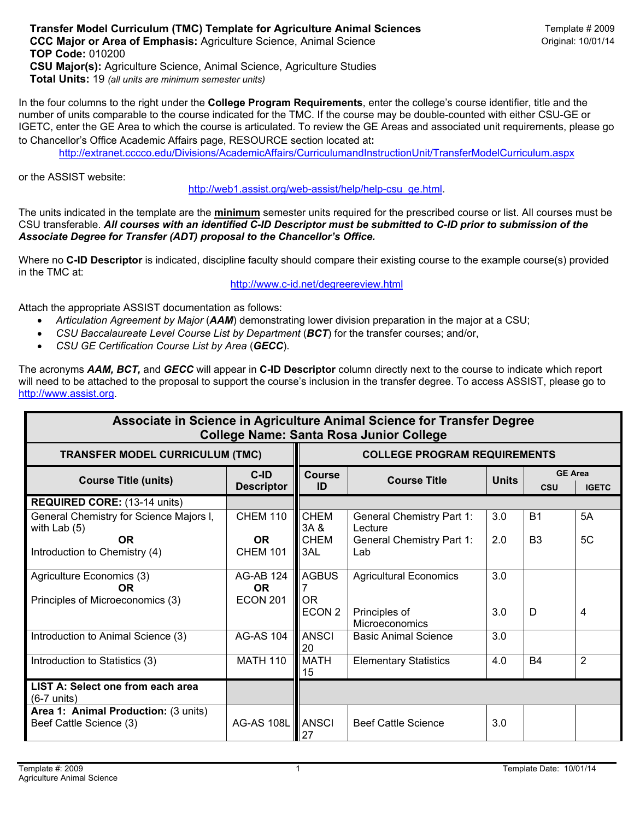In the four columns to the right under the **College Program Requirements**, enter the college's course identifier, title and the number of units comparable to the course indicated for the TMC. If the course may be double-counted with either CSU-GE or IGETC, enter the GE Area to which the course is articulated. To review the GE Areas and associated unit requirements, please go to Chancellor's Office Academic Affairs page, RESOURCE section located at:

http://extranet.cccco.edu/Divisions/AcademicAffairs/CurriculumandInstructionUnit/TransferModelCurriculum.aspx

or the ASSIST website:

http://web1.assist.org/web-assist/help/help-csu\_ge.html.

The units indicated in the template are the **minimum** semester units required for the prescribed course or list. All courses must be CSU transferable. *All courses with an identified C-ID Descriptor must be submitted to C-ID prior to submission of the Associate Degree for Transfer (ADT) proposal to the Chancellor's Office.*

Where no **C-ID Descriptor** is indicated, discipline faculty should compare their existing course to the example course(s) provided in the TMC at:

http://www.c-id.net/degreereview.html

Attach the appropriate ASSIST documentation as follows:

- *Articulation Agreement by Major* (*AAM*) demonstrating lower division preparation in the major at a CSU;
- *CSU Baccalaureate Level Course List by Department* (*BCT*) for the transfer courses; and/or,
- *CSU GE Certification Course List by Area* (*GECC*).

The acronyms *AAM, BCT,* and *GECC* will appear in **C-ID Descriptor** column directly next to the course to indicate which report will need to be attached to the proposal to support the course's inclusion in the transfer degree. To access ASSIST, please go to http://www.assist.org.

| Associate in Science in Agriculture Animal Science for Transfer Degree<br><b>College Name: Santa Rosa Junior College</b> |                                                  |                                     |                                             |              |                              |              |  |  |  |  |  |
|--------------------------------------------------------------------------------------------------------------------------|--------------------------------------------------|-------------------------------------|---------------------------------------------|--------------|------------------------------|--------------|--|--|--|--|--|
| <b>TRANSFER MODEL CURRICULUM (TMC)</b>                                                                                   |                                                  | <b>COLLEGE PROGRAM REQUIREMENTS</b> |                                             |              |                              |              |  |  |  |  |  |
| <b>Course Title (units)</b>                                                                                              | $C$ -ID<br><b>Descriptor</b>                     | <b>Course</b><br>ID                 | <b>Course Title</b>                         | <b>Units</b> | <b>GE Area</b><br><b>CSU</b> | <b>IGETC</b> |  |  |  |  |  |
| <b>REQUIRED CORE: (13-14 units)</b>                                                                                      |                                                  |                                     |                                             |              |                              |              |  |  |  |  |  |
| General Chemistry for Science Majors I,<br>with Lab $(5)$                                                                | <b>CHEM 110</b>                                  | <b>CHEM</b><br>3A &                 | <b>General Chemistry Part 1:</b><br>Lecture | 3.0          | <b>B1</b>                    | 5A           |  |  |  |  |  |
| OR.<br>Introduction to Chemistry (4)                                                                                     | <b>OR</b><br><b>CHEM 101</b>                     | <b>CHEM</b><br>3AL                  | <b>General Chemistry Part 1:</b><br>Lab     | 2.0          | B <sub>3</sub>               | 5C           |  |  |  |  |  |
| Agriculture Economics (3)<br><b>OR</b>                                                                                   | <b>AG-AB 124</b><br><b>OR</b><br><b>ECON 201</b> | <b>AGBUS</b><br><b>OR</b>           | <b>Agricultural Economics</b>               | 3.0          |                              |              |  |  |  |  |  |
| Principles of Microeconomics (3)                                                                                         |                                                  | ECON <sub>2</sub>                   | Principles of<br>Microeconomics             | 3.0          | D                            | 4            |  |  |  |  |  |
| Introduction to Animal Science (3)                                                                                       | <b>AG-AS 104</b>                                 | <b>ANSCI</b><br>20                  | <b>Basic Animal Science</b>                 | 3.0          |                              |              |  |  |  |  |  |
| Introduction to Statistics (3)                                                                                           | <b>MATH 110</b>                                  | <b>MATH</b><br>15                   | <b>Elementary Statistics</b>                | 4.0          | <b>B4</b>                    | 2            |  |  |  |  |  |
| LIST A: Select one from each area<br>$(6-7$ units)                                                                       |                                                  |                                     |                                             |              |                              |              |  |  |  |  |  |
| Area 1: Animal Production: (3 units)<br>Beef Cattle Science (3)                                                          | <b>AG-AS 108L</b>                                | <b>ANSCI</b><br>27                  | <b>Beef Cattle Science</b>                  | 3.0          |                              |              |  |  |  |  |  |